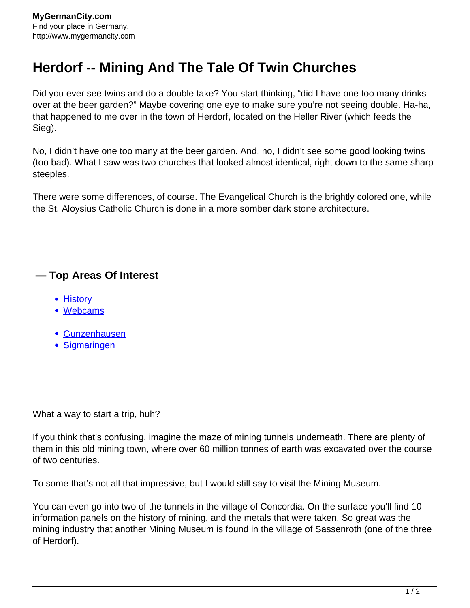## **Herdorf -- Mining And The Tale Of Twin Churches**

Did you ever see twins and do a double take? You start thinking, "did I have one too many drinks over at the beer garden?" Maybe covering one eye to make sure you're not seeing double. Ha-ha, that happened to me over in the town of Herdorf, located on the Heller River (which feeds the Sieg).

No, I didn't have one too many at the beer garden. And, no, I didn't see some good looking twins (too bad). What I saw was two churches that looked almost identical, right down to the same sharp steeples.

There were some differences, of course. The Evangelical Church is the brightly colored one, while the St. Aloysius Catholic Church is done in a more somber dark stone architecture.

## **— Top Areas Of Interest**

- **[History](http://www.mygermancity.com/leipzig-history)**
- [Webcams](http://www.mygermancity.com/neustadt-holstein-webcams)
- [Gunzenhausen](http://www.mygermancity.com/gunzenhausen)
- [Sigmaringen](http://www.mygermancity.com/sigmaringen)

What a way to start a trip, huh?

If you think that's confusing, imagine the maze of mining tunnels underneath. There are plenty of them in this old mining town, where over 60 million tonnes of earth was excavated over the course of two centuries.

To some that's not all that impressive, but I would still say to visit the Mining Museum.

You can even go into two of the tunnels in the village of Concordia. On the surface you'll find 10 information panels on the history of mining, and the metals that were taken. So great was the mining industry that another Mining Museum is found in the village of Sassenroth (one of the three of Herdorf).